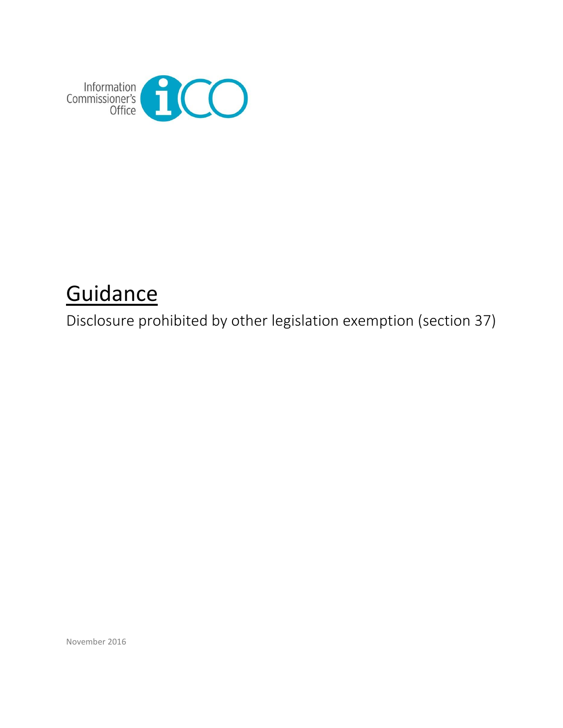

# **Guidance**

Disclosure prohibited by other legislation exemption (section 37)

November 2016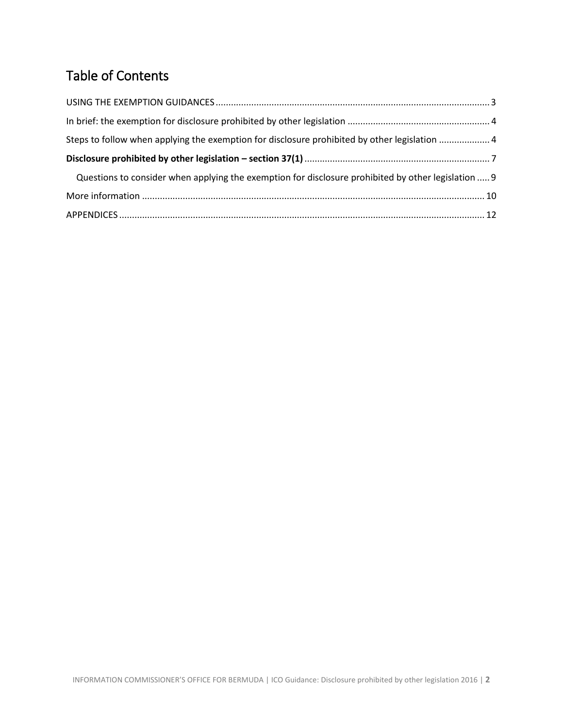# Table of Contents

| Steps to follow when applying the exemption for disclosure prohibited by other legislation  4       |  |
|-----------------------------------------------------------------------------------------------------|--|
|                                                                                                     |  |
| Questions to consider when applying the exemption for disclosure prohibited by other legislation  9 |  |
|                                                                                                     |  |
|                                                                                                     |  |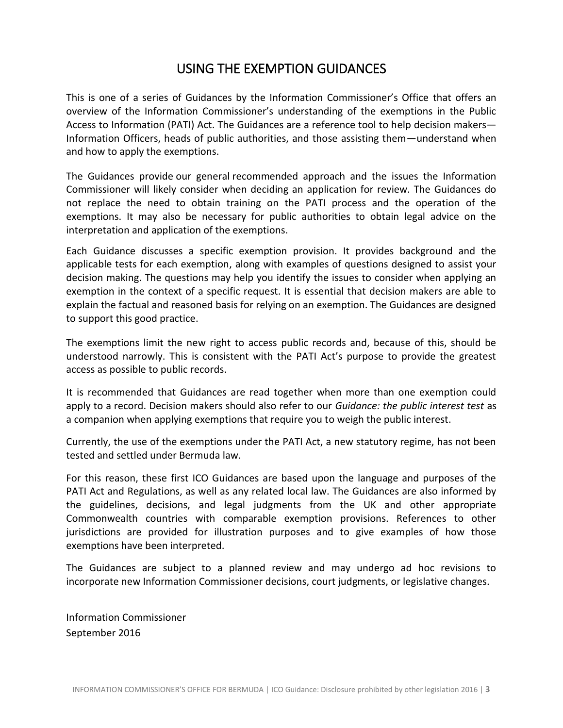# USING THE EXEMPTION GUIDANCES

<span id="page-2-0"></span>This is one of a series of Guidances by the Information Commissioner's Office that offers an overview of the Information Commissioner's understanding of the exemptions in the Public Access to Information (PATI) Act. The Guidances are a reference tool to help decision makers— Information Officers, heads of public authorities, and those assisting them—understand when and how to apply the exemptions.

The Guidances provide our general recommended approach and the issues the Information Commissioner will likely consider when deciding an application for review. The Guidances do not replace the need to obtain training on the PATI process and the operation of the exemptions. It may also be necessary for public authorities to obtain legal advice on the interpretation and application of the exemptions.

Each Guidance discusses a specific exemption provision. It provides background and the applicable tests for each exemption, along with examples of questions designed to assist your decision making. The questions may help you identify the issues to consider when applying an exemption in the context of a specific request. It is essential that decision makers are able to explain the factual and reasoned basis for relying on an exemption. The Guidances are designed to support this good practice.

The exemptions limit the new right to access public records and, because of this, should be understood narrowly. This is consistent with the PATI Act's purpose to provide the greatest access as possible to public records.

It is recommended that Guidances are read together when more than one exemption could apply to a record. Decision makers should also refer to our *Guidance: the public interest test* as a companion when applying exemptions that require you to weigh the public interest.

Currently, the use of the exemptions under the PATI Act, a new statutory regime, has not been tested and settled under Bermuda law.

For this reason, these first ICO Guidances are based upon the language and purposes of the PATI Act and Regulations, as well as any related local law. The Guidances are also informed by the guidelines, decisions, and legal judgments from the UK and other appropriate Commonwealth countries with comparable exemption provisions. References to other jurisdictions are provided for illustration purposes and to give examples of how those exemptions have been interpreted.

The Guidances are subject to a planned review and may undergo ad hoc revisions to incorporate new Information Commissioner decisions, court judgments, or legislative changes.

Information Commissioner September 2016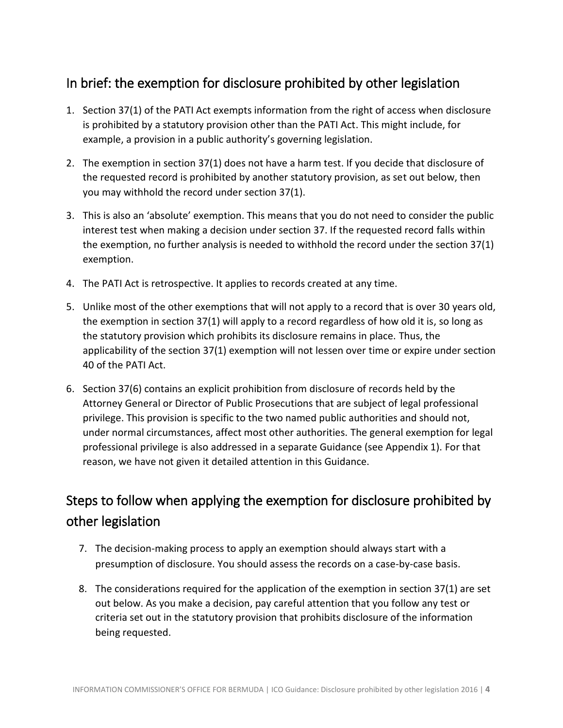# <span id="page-3-0"></span>In brief: the exemption for disclosure prohibited by other legislation

- 1. Section 37(1) of the PATI Act exempts information from the right of access when disclosure is prohibited by a statutory provision other than the PATI Act. This might include, for example, a provision in a public authority's governing legislation.
- 2. The exemption in section 37(1) does not have a harm test. If you decide that disclosure of the requested record is prohibited by another statutory provision, as set out below, then you may withhold the record under section 37(1).
- 3. This is also an 'absolute' exemption. This means that you do not need to consider the public interest test when making a decision under section 37. If the requested record falls within the exemption, no further analysis is needed to withhold the record under the section 37(1) exemption.
- 4. The PATI Act is retrospective. It applies to records created at any time.
- 5. Unlike most of the other exemptions that will not apply to a record that is over 30 years old, the exemption in section 37(1) will apply to a record regardless of how old it is, so long as the statutory provision which prohibits its disclosure remains in place. Thus, the applicability of the section 37(1) exemption will not lessen over time or expire under section 40 of the PATI Act.
- 6. Section 37(6) contains an explicit prohibition from disclosure of records held by the Attorney General or Director of Public Prosecutions that are subject of legal professional privilege. This provision is specific to the two named public authorities and should not, under normal circumstances, affect most other authorities. The general exemption for legal professional privilege is also addressed in a separate Guidance (see Appendix 1). For that reason, we have not given it detailed attention in this Guidance.

# <span id="page-3-1"></span>Steps to follow when applying the exemption for disclosure prohibited by other legislation

- 7. The decision-making process to apply an exemption should always start with a presumption of disclosure. You should assess the records on a case-by-case basis.
- 8. The considerations required for the application of the exemption in section 37(1) are set out below. As you make a decision, pay careful attention that you follow any test or criteria set out in the statutory provision that prohibits disclosure of the information being requested.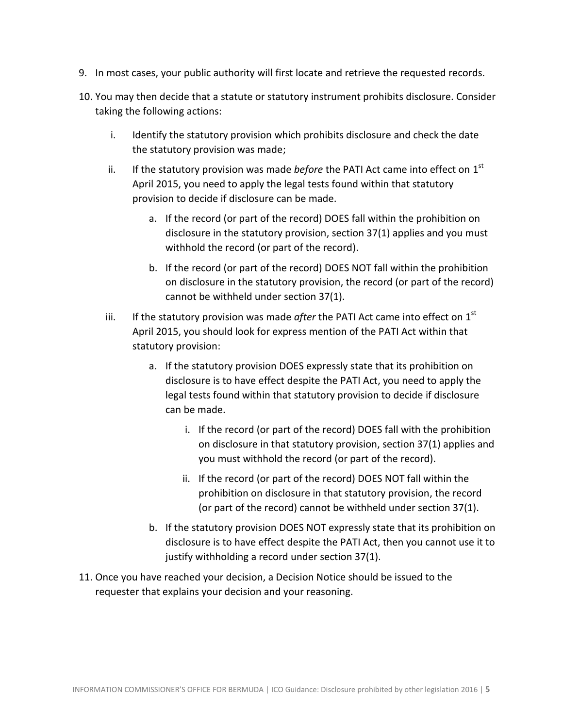- 9. In most cases, your public authority will first locate and retrieve the requested records.
- 10. You may then decide that a statute or statutory instrument prohibits disclosure. Consider taking the following actions:
	- i. Identify the statutory provision which prohibits disclosure and check the date the statutory provision was made;
	- ii. If the statutory provision was made *before* the PATI Act came into effect on 1<sup>st</sup> April 2015, you need to apply the legal tests found within that statutory provision to decide if disclosure can be made.
		- a. If the record (or part of the record) DOES fall within the prohibition on disclosure in the statutory provision, section 37(1) applies and you must withhold the record (or part of the record).
		- b. If the record (or part of the record) DOES NOT fall within the prohibition on disclosure in the statutory provision, the record (or part of the record) cannot be withheld under section 37(1).
	- iii. If the statutory provision was made *after* the PATI Act came into effect on  $1<sup>st</sup>$ April 2015, you should look for express mention of the PATI Act within that statutory provision:
		- a. If the statutory provision DOES expressly state that its prohibition on disclosure is to have effect despite the PATI Act, you need to apply the legal tests found within that statutory provision to decide if disclosure can be made.
			- i. If the record (or part of the record) DOES fall with the prohibition on disclosure in that statutory provision, section 37(1) applies and you must withhold the record (or part of the record).
			- ii. If the record (or part of the record) DOES NOT fall within the prohibition on disclosure in that statutory provision, the record (or part of the record) cannot be withheld under section 37(1).
		- b. If the statutory provision DOES NOT expressly state that its prohibition on disclosure is to have effect despite the PATI Act, then you cannot use it to justify withholding a record under section 37(1).
- 11. Once you have reached your decision, a Decision Notice should be issued to the requester that explains your decision and your reasoning.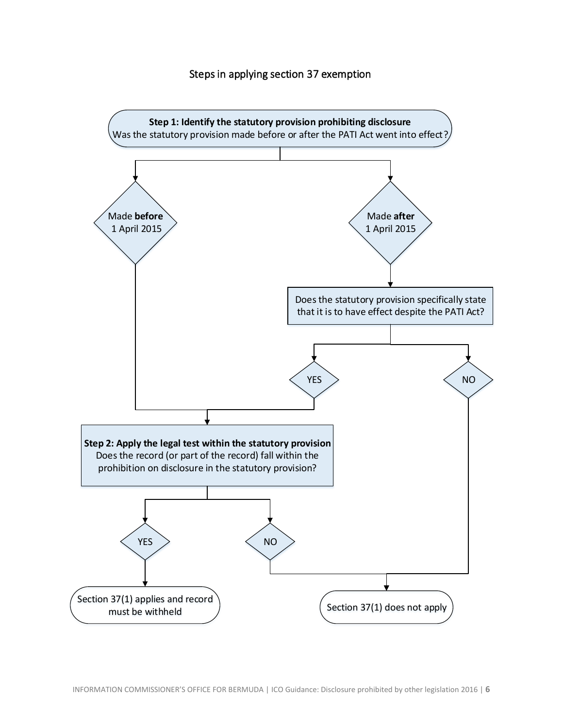#### Steps in applying section 37 exemption

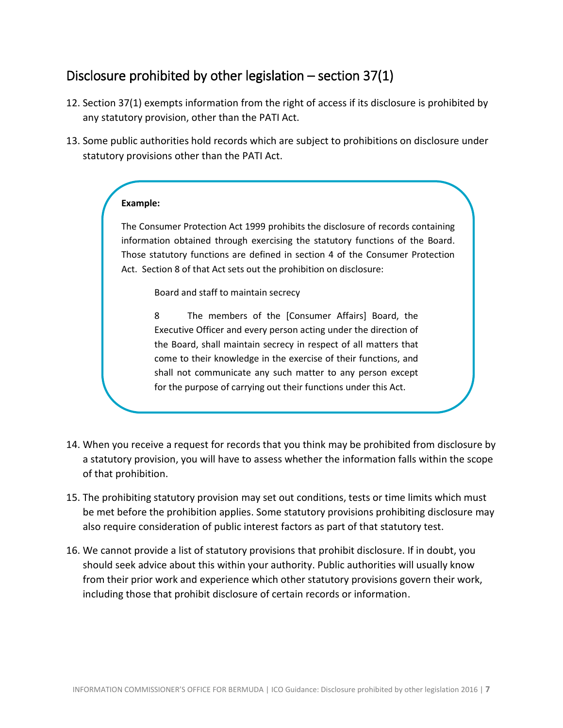# <span id="page-6-0"></span>Disclosure prohibited by other legislation – section 37(1)

- 12. Section 37(1) exempts information from the right of access if its disclosure is prohibited by any statutory provision, other than the PATI Act.
- 13. Some public authorities hold records which are subject to prohibitions on disclosure under statutory provisions other than the PATI Act.

#### **Example:**

The Consumer Protection Act 1999 prohibits the disclosure of records containing information obtained through exercising the statutory functions of the Board. Those statutory functions are defined in section 4 of the Consumer Protection Act. Section 8 of that Act sets out the prohibition on disclosure:

Board and staff to maintain secrecy

8 The members of the [Consumer Affairs] Board, the Executive Officer and every person acting under the direction of the Board, shall maintain secrecy in respect of all matters that come to their knowledge in the exercise of their functions, and shall not communicate any such matter to any person except for the purpose of carrying out their functions under this Act.

- 14. When you receive a request for records that you think may be prohibited from disclosure by a statutory provision, you will have to assess whether the information falls within the scope of that prohibition.
- 15. The prohibiting statutory provision may set out conditions, tests or time limits which must be met before the prohibition applies. Some statutory provisions prohibiting disclosure may also require consideration of public interest factors as part of that statutory test.
- 16. We cannot provide a list of statutory provisions that prohibit disclosure. If in doubt, you should seek advice about this within your authority. Public authorities will usually know from their prior work and experience which other statutory provisions govern their work, including those that prohibit disclosure of certain records or information.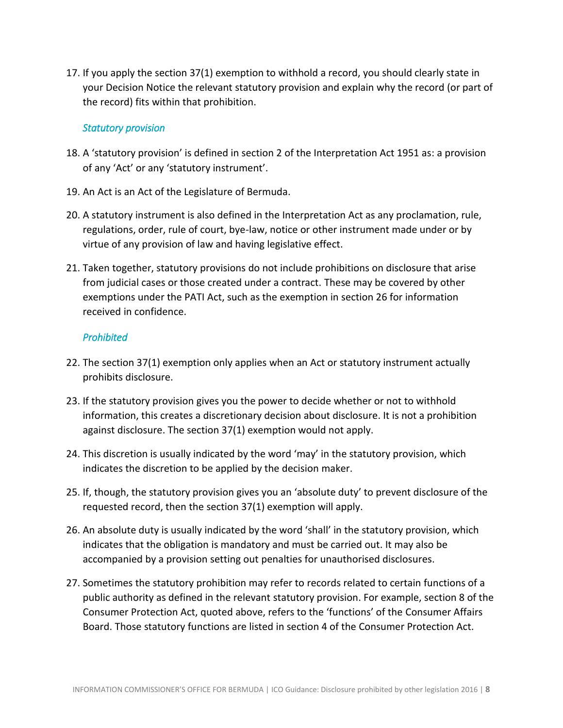17. If you apply the section 37(1) exemption to withhold a record, you should clearly state in your Decision Notice the relevant statutory provision and explain why the record (or part of the record) fits within that prohibition.

#### *Statutory provision*

- 18. A 'statutory provision' is defined in section 2 of the Interpretation Act 1951 as: a provision of any 'Act' or any 'statutory instrument'.
- 19. An Act is an Act of the Legislature of Bermuda.
- 20. A statutory instrument is also defined in the Interpretation Act as any proclamation, rule, regulations, order, rule of court, bye-law, notice or other instrument made under or by virtue of any provision of law and having legislative effect.
- 21. Taken together, statutory provisions do not include prohibitions on disclosure that arise from judicial cases or those created under a contract. These may be covered by other exemptions under the PATI Act, such as the exemption in section 26 for information received in confidence.

#### *Prohibited*

- 22. The section 37(1) exemption only applies when an Act or statutory instrument actually prohibits disclosure.
- 23. If the statutory provision gives you the power to decide whether or not to withhold information, this creates a discretionary decision about disclosure. It is not a prohibition against disclosure. The section 37(1) exemption would not apply.
- 24. This discretion is usually indicated by the word 'may' in the statutory provision, which indicates the discretion to be applied by the decision maker.
- 25. If, though, the statutory provision gives you an 'absolute duty' to prevent disclosure of the requested record, then the section 37(1) exemption will apply.
- 26. An absolute duty is usually indicated by the word 'shall' in the statutory provision, which indicates that the obligation is mandatory and must be carried out. It may also be accompanied by a provision setting out penalties for unauthorised disclosures.
- 27. Sometimes the statutory prohibition may refer to records related to certain functions of a public authority as defined in the relevant statutory provision. For example, section 8 of the Consumer Protection Act, quoted above, refers to the 'functions' of the Consumer Affairs Board. Those statutory functions are listed in section 4 of the Consumer Protection Act.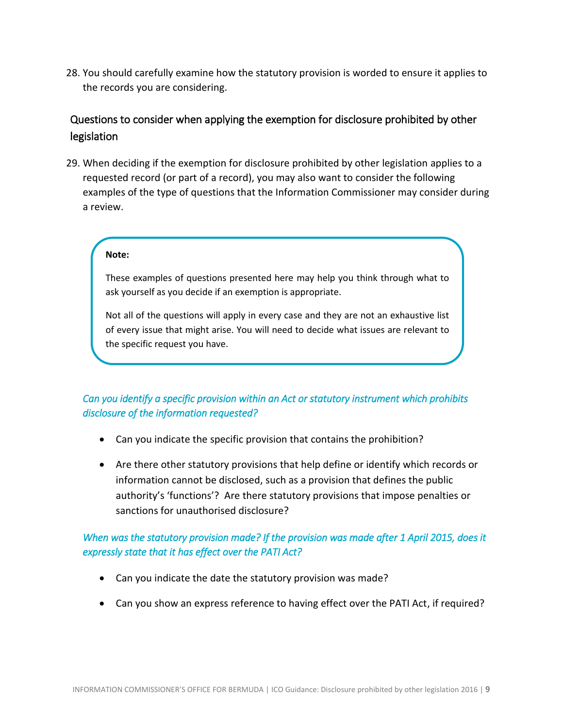28. You should carefully examine how the statutory provision is worded to ensure it applies to the records you are considering.

## <span id="page-8-0"></span>Questions to consider when applying the exemption for disclosure prohibited by other legislation

29. When deciding if the exemption for disclosure prohibited by other legislation applies to a requested record (or part of a record), you may also want to consider the following examples of the type of questions that the Information Commissioner may consider during a review.

#### **Note:**

These examples of questions presented here may help you think through what to ask yourself as you decide if an exemption is appropriate.

Not all of the questions will apply in every case and they are not an exhaustive list of every issue that might arise. You will need to decide what issues are relevant to the specific request you have.

#### *Can you identify a specific provision within an Act or statutory instrument which prohibits disclosure of the information requested?*

- Can you indicate the specific provision that contains the prohibition?
- Are there other statutory provisions that help define or identify which records or information cannot be disclosed, such as a provision that defines the public authority's 'functions'? Are there statutory provisions that impose penalties or sanctions for unauthorised disclosure?

#### *When was the statutory provision made? If the provision was made after 1 April 2015, does it expressly state that it has effect over the PATI Act?*

- Can you indicate the date the statutory provision was made?
- Can you show an express reference to having effect over the PATI Act, if required?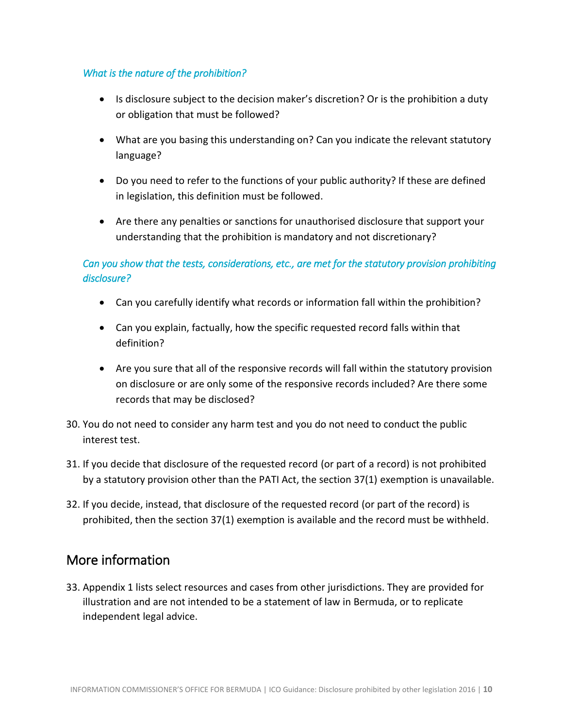#### *What is the nature of the prohibition?*

- Is disclosure subject to the decision maker's discretion? Or is the prohibition a duty or obligation that must be followed?
- What are you basing this understanding on? Can you indicate the relevant statutory language?
- Do you need to refer to the functions of your public authority? If these are defined in legislation, this definition must be followed.
- Are there any penalties or sanctions for unauthorised disclosure that support your understanding that the prohibition is mandatory and not discretionary?

#### *Can you show that the tests, considerations, etc., are met for the statutory provision prohibiting disclosure?*

- Can you carefully identify what records or information fall within the prohibition?
- Can you explain, factually, how the specific requested record falls within that definition?
- Are you sure that all of the responsive records will fall within the statutory provision on disclosure or are only some of the responsive records included? Are there some records that may be disclosed?
- 30. You do not need to consider any harm test and you do not need to conduct the public interest test.
- 31. If you decide that disclosure of the requested record (or part of a record) is not prohibited by a statutory provision other than the PATI Act, the section 37(1) exemption is unavailable.
- 32. If you decide, instead, that disclosure of the requested record (or part of the record) is prohibited, then the section 37(1) exemption is available and the record must be withheld.

# <span id="page-9-0"></span>More information

33. Appendix 1 lists select resources and cases from other jurisdictions. They are provided for illustration and are not intended to be a statement of law in Bermuda, or to replicate independent legal advice.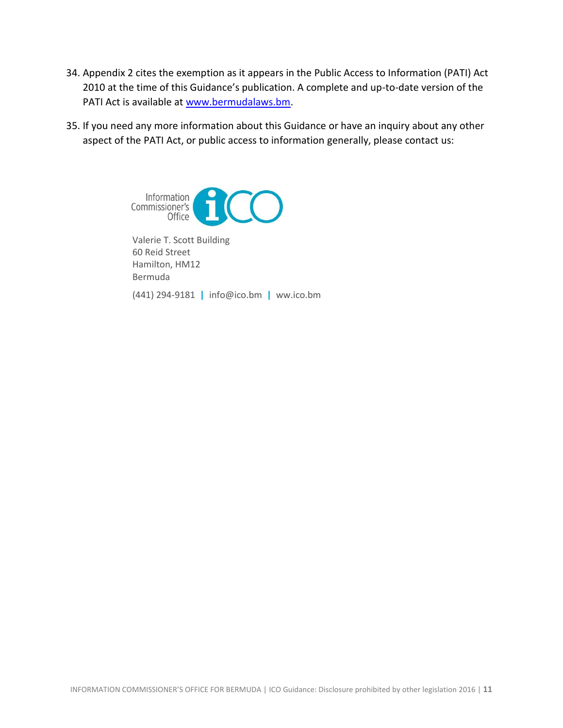- 34. Appendix 2 cites the exemption as it appears in the Public Access to Information (PATI) Act 2010 at the time of this Guidance's publication. A complete and up-to-date version of the PATI Act is available at [www.bermudalaws.bm.](http://www.bermudalaws.bm/)
- 35. If you need any more information about this Guidance or have an inquiry about any other aspect of the PATI Act, or public access to information generally, please contact us:



Valerie T. Scott Building 60 Reid Street Hamilton, HM12 Bermuda

(441) 294-9181 **|** info@ico.bm **|** ww.ico.bm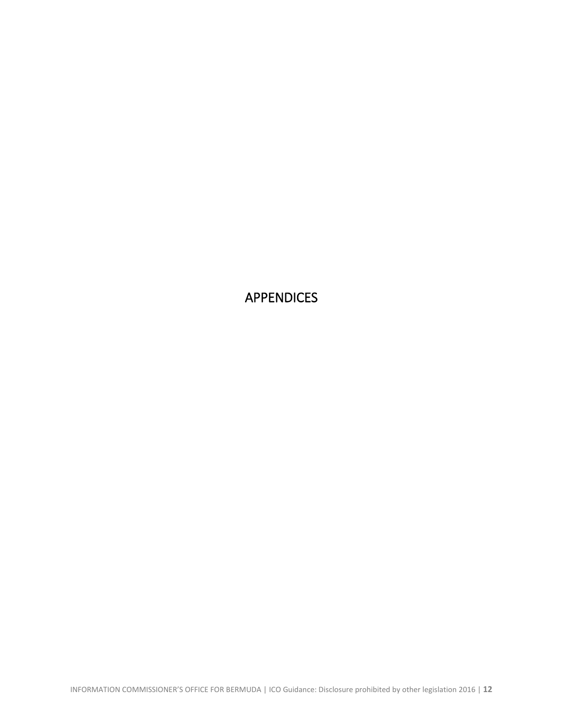<span id="page-11-0"></span>APPENDICES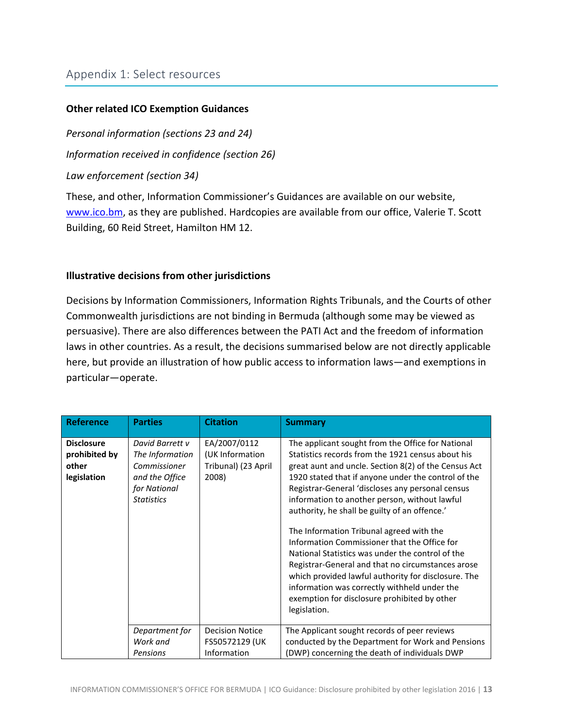### **Other related ICO Exemption Guidances**

*Personal information (sections 23 and 24)*

*Information received in confidence (section 26)*

*Law enforcement (section 34)*

These, and other, Information Commissioner's Guidances are available on our website, [www.ico.bm,](http://www.ico.bm/) as they are published. Hardcopies are available from our office, Valerie T. Scott Building, 60 Reid Street, Hamilton HM 12.

### **Illustrative decisions from other jurisdictions**

Decisions by Information Commissioners, Information Rights Tribunals, and the Courts of other Commonwealth jurisdictions are not binding in Bermuda (although some may be viewed as persuasive). There are also differences between the PATI Act and the freedom of information laws in other countries. As a result, the decisions summarised below are not directly applicable here, but provide an illustration of how public access to information laws—and exemptions in particular—operate.

| <b>Reference</b>                                           | <b>Parties</b>                                                                                            | <b>Citation</b>                                                 | <b>Summary</b>                                                                                                                                                                                                                                                                                                                                                                                                                                                                                                                                                                                                                                                                                                                                          |
|------------------------------------------------------------|-----------------------------------------------------------------------------------------------------------|-----------------------------------------------------------------|---------------------------------------------------------------------------------------------------------------------------------------------------------------------------------------------------------------------------------------------------------------------------------------------------------------------------------------------------------------------------------------------------------------------------------------------------------------------------------------------------------------------------------------------------------------------------------------------------------------------------------------------------------------------------------------------------------------------------------------------------------|
| <b>Disclosure</b><br>prohibited by<br>other<br>legislation | David Barrett v<br>The Information<br>Commissioner<br>and the Office<br>for National<br><b>Statistics</b> | EA/2007/0112<br>(UK Information<br>Tribunal) (23 April<br>2008) | The applicant sought from the Office for National<br>Statistics records from the 1921 census about his<br>great aunt and uncle. Section 8(2) of the Census Act<br>1920 stated that if anyone under the control of the<br>Registrar-General 'discloses any personal census<br>information to another person, without lawful<br>authority, he shall be guilty of an offence.'<br>The Information Tribunal agreed with the<br>Information Commissioner that the Office for<br>National Statistics was under the control of the<br>Registrar-General and that no circumstances arose<br>which provided lawful authority for disclosure. The<br>information was correctly withheld under the<br>exemption for disclosure prohibited by other<br>legislation. |
|                                                            | Department for<br>Work and<br>Pensions                                                                    | <b>Decision Notice</b><br>FS50572129 (UK<br>Information         | The Applicant sought records of peer reviews<br>conducted by the Department for Work and Pensions<br>(DWP) concerning the death of individuals DWP                                                                                                                                                                                                                                                                                                                                                                                                                                                                                                                                                                                                      |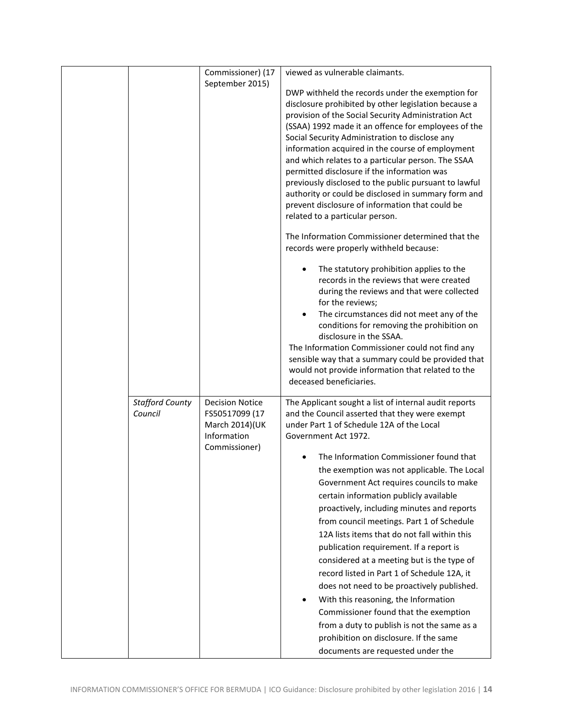|                                   | Commissioner) (17<br>September 2015)                                                       | viewed as vulnerable claimants.<br>DWP withheld the records under the exemption for<br>disclosure prohibited by other legislation because a<br>provision of the Social Security Administration Act<br>(SSAA) 1992 made it an offence for employees of the<br>Social Security Administration to disclose any<br>information acquired in the course of employment<br>and which relates to a particular person. The SSAA<br>permitted disclosure if the information was<br>previously disclosed to the public pursuant to lawful<br>authority or could be disclosed in summary form and<br>prevent disclosure of information that could be<br>related to a particular person.<br>The Information Commissioner determined that the<br>records were properly withheld because:<br>The statutory prohibition applies to the<br>٠<br>records in the reviews that were created<br>during the reviews and that were collected<br>for the reviews;<br>The circumstances did not meet any of the<br>$\bullet$<br>conditions for removing the prohibition on<br>disclosure in the SSAA.<br>The Information Commissioner could not find any<br>sensible way that a summary could be provided that<br>would not provide information that related to the<br>deceased beneficiaries. |
|-----------------------------------|--------------------------------------------------------------------------------------------|----------------------------------------------------------------------------------------------------------------------------------------------------------------------------------------------------------------------------------------------------------------------------------------------------------------------------------------------------------------------------------------------------------------------------------------------------------------------------------------------------------------------------------------------------------------------------------------------------------------------------------------------------------------------------------------------------------------------------------------------------------------------------------------------------------------------------------------------------------------------------------------------------------------------------------------------------------------------------------------------------------------------------------------------------------------------------------------------------------------------------------------------------------------------------------------------------------------------------------------------------------------------|
| <b>Stafford County</b><br>Council | <b>Decision Notice</b><br>FS50517099 (17<br>March 2014)(UK<br>Information<br>Commissioner) | The Applicant sought a list of internal audit reports<br>and the Council asserted that they were exempt<br>under Part 1 of Schedule 12A of the Local<br>Government Act 1972.<br>The Information Commissioner found that<br>the exemption was not applicable. The Local<br>Government Act requires councils to make<br>certain information publicly available<br>proactively, including minutes and reports<br>from council meetings. Part 1 of Schedule<br>12A lists items that do not fall within this<br>publication requirement. If a report is<br>considered at a meeting but is the type of<br>record listed in Part 1 of Schedule 12A, it<br>does not need to be proactively published.<br>With this reasoning, the Information<br>Commissioner found that the exemption<br>from a duty to publish is not the same as a<br>prohibition on disclosure. If the same<br>documents are requested under the                                                                                                                                                                                                                                                                                                                                                         |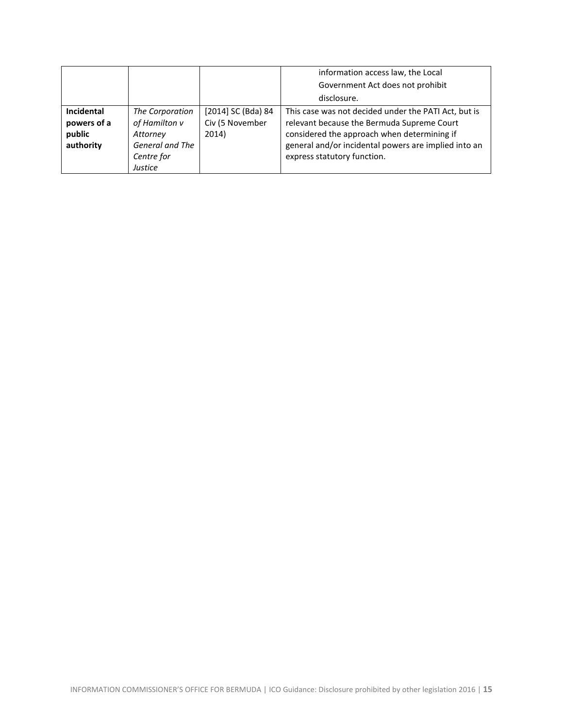|                                                         |                                                                                          |                                                | information access law, the Local<br>Government Act does not prohibit                                                                                                                                                                    |
|---------------------------------------------------------|------------------------------------------------------------------------------------------|------------------------------------------------|------------------------------------------------------------------------------------------------------------------------------------------------------------------------------------------------------------------------------------------|
|                                                         |                                                                                          |                                                | disclosure.                                                                                                                                                                                                                              |
| <b>Incidental</b><br>powers of a<br>public<br>authority | The Corporation<br>of Hamilton v<br>Attorney<br>General and The<br>Centre for<br>Justice | [2014] SC (Bda) 84<br>Civ (5 November<br>2014) | This case was not decided under the PATI Act, but is<br>relevant because the Bermuda Supreme Court<br>considered the approach when determining if<br>general and/or incidental powers are implied into an<br>express statutory function. |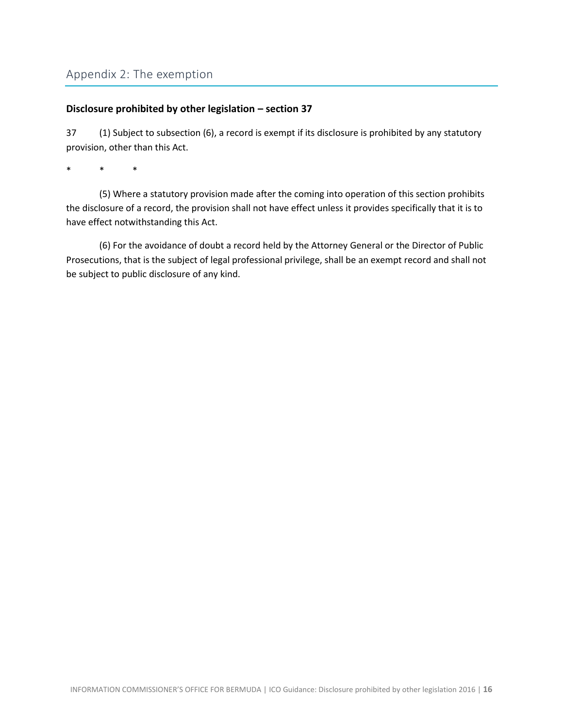#### **Disclosure prohibited by other legislation – section 37**

37 (1) Subject to subsection (6), a record is exempt if its disclosure is prohibited by any statutory provision, other than this Act.

\* \* \*

(5) Where a statutory provision made after the coming into operation of this section prohibits the disclosure of a record, the provision shall not have effect unless it provides specifically that it is to have effect notwithstanding this Act.

(6) For the avoidance of doubt a record held by the Attorney General or the Director of Public Prosecutions, that is the subject of legal professional privilege, shall be an exempt record and shall not be subject to public disclosure of any kind.